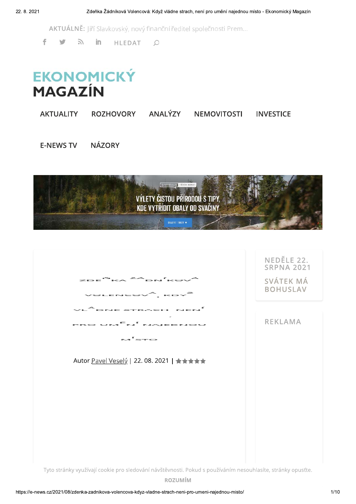AKTUÁLNĚ: Jiří Slavkovský, nový finanční ředitel společnosti Prem...

f  $\tilde{a}$ in. **HLEDAT**  $\circ$ 



| AKTUALITY | <b>ROZHOVORY</b> | ANALÝZY | <b>NEMOVITOSTI</b> | <b>INVESTICE</b> |
|-----------|------------------|---------|--------------------|------------------|
|-----------|------------------|---------|--------------------|------------------|

NÁZORY **E-NEWS TV** 



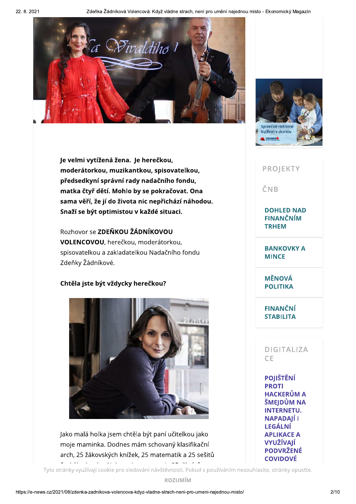Zdeňka Žádníková Volencová: Když vládne strach, není pro umění najednou místo - Ekonomický Magazín



Je velmi vytížená žena. Je herečkou, moderátorkou, muzikantkou, spisovatelkou, předsedkyní správní rady nadačního fondu, matka čtyř dětí. Mohlo by se pokračovat. Ona sama věří, že jí do života nic nepřichází náhodou. Snaží se být optimistou v každé situaci.

Rozhovor se ZDEŇKOU ŽÁDNÍKOVOU VOLENCOVOU, herečkou, moderátorkou, spisovatelkou a zakladatelkou Nadačního fondu Zdeňky Žádníkové.

#### Chtěla jste být vždycky herečkou?



Jako malá holka jsem chtěla být paní učitelkou jako moje maminka. Dodnes mám schovaný klasifikační arch, 25 žákovských knížek, 25 matematik a 25 sešitů  $1 - 2 = 111.7.8$ 

Společně měníme budlení v domov STAVEBNÍ<sup>®</sup>

### **PROJEKTY**

ČNB

**DOHLED NAD FINANČNÍM TRHEM** 

**BANKOVKY A MINCE** 

**MĚNOVÁ POLITIKA** 

**FINANČNÍ STABILITA** 

**DIGITALIZA CE** 

**POIIŠTĚNÍ PROTI HACKERŮM A** ŠMEJDŮM NA **INTERNETU. NAPADAIÍ I LEGÁLNÍ APLIKACE A VYUŽÍVAJÍ PODVRŽENÉ COVIDOVÉ** 

Tyto stránky využívají cookie pro sledování návštěvnosti. Pokud s používáním nesouhlasíte, stránky opusťte.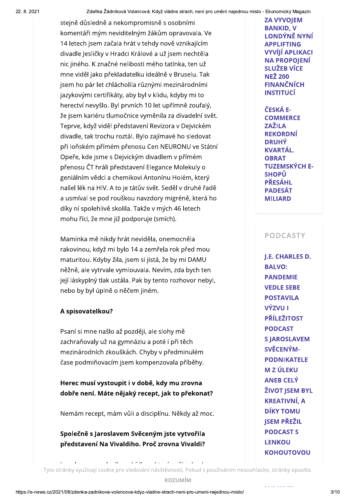stejně důsledně a nekompromisně s osobními komentáři mým neviditelným žákům opravovala. Ve 14 letech jsem začala hrát v tehdy nově vznikajícím divadle Jesličky v Hradci Králové a už jsem nechtěla nic jiného. K značné nelibosti mého tatínka, ten už mne viděl jako překladatelku ideálně v Bruselu. Tak jsem ho pár let chlácholila různými mezinárodními jazykovými certifikáty, aby byl v klidu, kdyby mi to herectví nevyšlo. Byl prvních 10 let upřímně zoufalý, že jsem kariéru tlumočnice vyměnila za divadelní svět. Teprve, když viděl představení Revizora v Dejvickém divadle, tak trochu roztál. Bylo zajímavé ho sledovat při loňském přímém přenosu Cen NEURONU ve Státní Opeře, kde jsme s Dejvickým divadlem v přímém přenosu ČT hráli představení Elegance Molekuly o geniálním vědci a chemikovi Antonínu Holém, který našel lék na HIV. A to je tátův svět. Seděl v druhé řadě a usmíval se pod rouškou navzdory migréně, která ho díky ní spolehlivě skolila. Takže v mých 46 letech mohu říci, že mne již podporuje (smích).

Maminka mě nikdy hrát neviděla, onemocněla rakovinou, když mi bylo 14 a zemřela rok před mou maturitou. Kdyby žila, jsem si jistá, že by mi DAMU něžně, ale vytrvale vymlouvala. Nevím, zda bych ten její láskyplný tlak ustála. Pak by tento rozhovor nebyl, nebo by byl úplně o něčem jiném.

#### A spisovatelkou?

Psaní si mne našlo až později, ale slohy mě zachraňovaly už na gymnáziu a poté i při těch mezinárodních zkouškách. Chyby v předminulém čase podmiňovacím jsem kompenzovala příběhy.

## Herec musí vystoupit i v době, kdy mu zrovna dobře není. Máte nějaký recept, jak to překonat?

Nemám recept, mám vůli a disciplínu. Někdy až moc.

### Společně s Jaroslavem Svěceným jste vytvořila představení Na Vivaldiho. Proč zrovna Vivaldi?

**ZA VÝVOIEM BANKID, V** LONDÝNĚ NYNÍ **APPI IFTING VYVÍJÍ APLIKACI NA PROPOIENÍ SLUŽEB VÍCE NEŽ 200 FINANČNÍCH INSTITUCÍ** 

ČESKÁ E-**COMMERCE ZAŽILA REKORDNÍ DRUHÝ KVARTÁL. OBRAT TUZEMSKÝCH E-SHOPŮ PŘESÁHL PADESÁT MILIARD** 

### **PODCASTY**

J.E. CHARLES D. **BALVO: PANDEMIE VEDLE SEBE POSTAVILA** VÝZVU I **PŘÍLEŽITOST PODCAST SIAROSLAVEM** SVĚCENÝM-**PODNIKATELE M Z ÚLEKU ANEB CELÝ ŽIVOT ISEM BYL KREATIVNÍ, A DÍKY TOMU ISEM PŘEŽIL PODCAST S LENKOU KOHOUTOVOU** 

 $\mathbf{r} = \mathbf{r} \mathbf{r}$  $\bar{\rm i}$  ,  $\bar{\rm i}$  and  $\mathbf{r}(\mathbf{r}) = \mathbf{z}(\mathbf{r})$  $\mathbf{v}_1$ 

Tyto stránky využívají cookie pro sledování návštěvnosti. Pokud s používáním nesouhlasíte, stránky opusťte.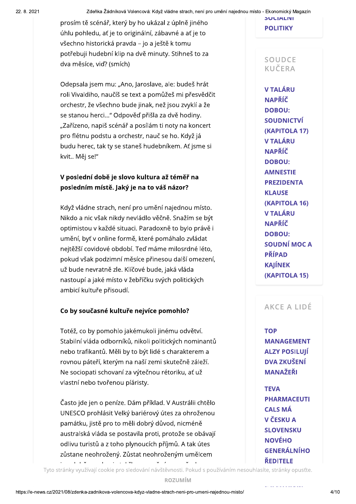prosím tě scénář, který by ho ukázal z úplně jiného úhlu pohledu, ať je to originální, zábavné a ať je to všechno historická pravda – jo a ještě k tomu potřebuji hudební klip na dvě minuty. Stihneš to za dva měsíce, vid? (smích)

Odepsala jsem mu: "Ano, Jaroslave, ale: budeš hrát roli Vivaldiho, naučíš se text a pomůžeš mi přesvědčit orchestr, že všechno bude jinak, než jsou zvyklí a že se stanou herci..." Odpověď přišla za dvě hodiny. "Zařízeno, napiš scénář a posílám ti noty na koncert pro flétnu podstu a orchestr, nauč se ho. Když já budu herec, tak ty se staneš hudebníkem. Ať jsme si kvit.. Měj se!"

## V poslední době je slovo kultura až téměř na posledním místě. Jaký je na to váš názor?

Když vládne strach, není pro umění najednou místo. Nikdo a nic však nikdy nevládlo věčně. Snažím se být optimistou v každé situaci. Paradoxně to bylo právě i umění, byť v online formě, které pomáhalo zvládat nejtěžší covidové období. Teď máme milosrdné léto, pokud však podzimní měsíce přinesou další omezení, už bude nevratně zle. Klíčové bude, jaká vláda nastoupí a jaké místo v žebříčku svých politických ambicí kultuře přisoudí.

#### Co by současné kultuře nejvíce pomohlo?

Totéž, co by pomohlo jakémukoli jinému odvětví. Stabilní vláda odborníků, nikoli politických nominantů nebo trafikantů. Měli by to být lidé s charakterem a rovnou páteří, kterým na naší zemi skutečně záleží. Ne sociopati schovaní za výtečnou rétoriku, ať už vlastní nebo tvořenou píáristy.

Často jde jen o peníze. Dám příklad. V Austrálii chtělo UNESCO prohlásit Velký bariérový útes za ohroženou památku, jistě pro to měli dobrý důvod, nicméně australská vláda se postavila proti, protože se obávají odlivu turistů a z toho plynoucích příjmů. A tak útes zůstane neohrožený. Zůstat neohroženým umělcem  $\mathcal{A}=\mathcal{A}+\mathcal{A}$  with

**POLITIKY** 

**SUCIALIVE** 

## **SOUDCE KUČERA**

**V TALÁRU NAPŘÍČ DOBOU: SOUDNICTVÍ** (KAPITOLA 17) **V TALÁRU NAPŘÍČ DOBOU: AMNESTIE PREZIDENTA KLAUSE** (KAPITOLA 16) **V TALÁRU NAPŘÍČ DOBOU: SOUDNÍ MOCA PŘÍPAD KAJÍNEK** (KAPITOLA 15)

## AKCE A LIDÉ

**TOP MANAGEMENT ALZY POSILUIÍ DVA ZKUŠENÍ MANAŽEŘI** 

**TEVA PHARMACEUTI CALS MÁ** V ČESKU A **SLOVENSKU NOVÉHO GENERÁLNÍHO ŘEDITELE** 

Tyto stránky využívají cookie pro sledování návštěvnosti. Pokud s používáním nesouhlasíte, stránky opusťte.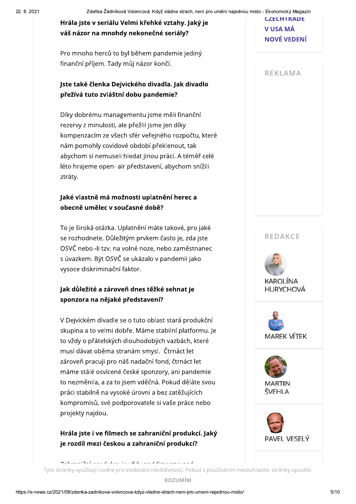# Hrála jste v seriálu Velmi křehké vztahy. Jaký je váš názor na mnohdy nekonečné seriály?

Pro mnoho herců to byl během pandemie jediný finanční příjem. Tady můj názor končí.

# Jste také členka Dejvického divadla. Jak divadlo přežívá tuto zvláštní dobu pandemie?

Díky dobrému managementu jsme měli finanční rezervy z minulosti, ale přežili jsme jen díky kompenzacím ze všech sfér veřejného rozpočtu, které nám pomohly covidové období překlenout, tak abychom si nemuseli hledat jinou práci. A téměř celé léto hrajeme open- air představení, abychom snížili ztráty.

# Jaké vlastně má možnosti uplatnění herec a obecně umělec v současné době?

To je široká otázka. Uplatnění máte takové, pro jaké se rozhodnete. Důležitým prvkem často je, zda jste OSVČ nebo -li tzv. na volné noze, nebo zaměstnanec s úvazkem. Být OSVČ se ukázalo v pandemii jako vysoce diskriminační faktor.

# Jak důležité a zároveň dnes těžké sehnat je sponzora na nějaké představení?

V Dejvickém divadle se o tuto oblast stará produkční skupina a to velmi dobře. Máme stabilní platformu. Je to vždy o přátelských dlouhodobých vazbách, které musí dávat oběma stranám smysl. Čtrnáct let zároveň pracuji pro náš nadační fond, čtrnáct let máme stálé osvícené české sponzory, ani pandemie to nezměnila, a za to jsem vděčná. Pokud děláte svou práci stabilně na vysoké úrovni a bez zatěžujících kompromisů, své podporovatele si vaše práce nebo projekty najdou.

## Hrála jste i ve filmech se zahraniční produkcí. Jaký je rozdíl mezi českou a zahraniční produkcí?

**CZECHIRADE** V USA MÁ **NOVÉ VEDENÍ** 

### **REKLAMA**



ر<br>و در در دو دو در مورا و ام دور بر رام کرد کرد کرد و بر را برام در در در در کرد م

Tyto stránky využívají cookie pro sledování návštěvnosti. Pokud s používáním nesouhlasíte, stránky opusťte.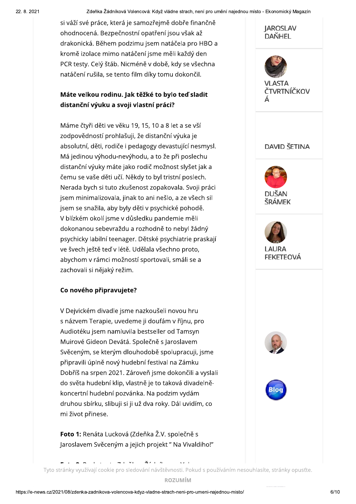Zdeňka Žádníková Volencová: Když vládne strach, není pro umění najednou místo - Ekonomický Magazín

si váží své práce, která je samozřejmě dobře finančně ohodnocená. Bezpečnostní opatření jsou však až drakonická. Během podzimu jsem natáčela pro HBO a kromě izolace mimo natáčení jsme měli každý den PCR testy. Celý štáb. Nicméně v době, kdy se všechna natáčení rušila, se tento film díky tomu dokončil.

## Máte velkou rodinu. Jak těžké to bylo teď sladit distanční výuku a svoji vlastní práci?

Máme čtyři děti ve věku 19, 15, 10 a 8 let a se vší zodpovědností prohlašuji, že distanční výuka je absolutní, děti, rodiče i pedagogy devastující nesmysl. Má jedinou výhodu-nevýhodu, a to že při poslechu distanční výuky máte jako rodič možnost slyšet jak a čemu se vaše děti učí. Někdy to byl tristní poslech. Nerada bych si tuto zkušenost zopakovala. Svoji práci jsem minimalizovala, jinak to ani nešlo, a ze všech sil jsem se snažila, aby byly děti v psychické pohodě. V blízkém okolí jsme v důsledku pandemie měli dokonanou sebevraždu a rozhodně to nebyl žádný psychicky labilní teenager. Dětské psychiatrie praskají ve švech ještě teď v létě. Udělala všechno proto, abychom v rámci možností sportovali, smáli se a zachovali si nějaký režim.

### Co nového připravujete?

V Dejvickém divadle jsme nazkoušeli novou hru s názvem Terapie, uvedeme ji doufám v říjnu, pro Audiotéku jsem namluvila bestseller od Tamsyn Muirové Gideon Devátá. Společně s Jaroslavem Svěceným, se kterým dlouhodobě spolupracuji, jsme připravili úplně nový hudební festival na Zámku Dobříš na srpen 2021. Zároveň jsme dokončili a vyslali do světa hudební klip, vlastně je to taková divadelněkoncertní hudební pozvánka. Na podzim vydám druhou sbírku, slibuji si ji už dva roky. Dál uvidím, co mi život přinese.

Foto 1: Renáta Lucková (Zdeňka Ž.V. společně s Jaroslavem Svěceným a jejich projekt " Na Vivaldiho!"



Tyto stránky využívají cookie pro sledování návštěvnosti. Pokud s používáním nesouhlasíte, stránky opusťte.

 $\frac{1}{2}$  and  $\frac{1}{2}$ 

 $\mathbf{r}$  and  $\mathbf{r}$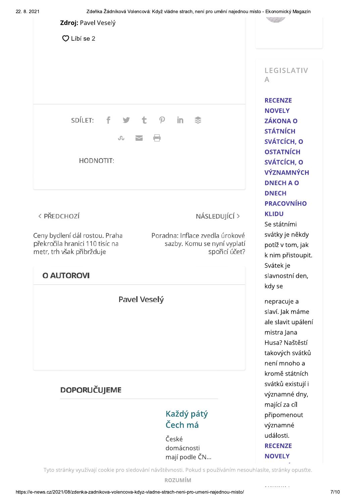Zdeňka Žádníková Volencová: Když vládne strach, není pro umění najednou místo - Ekonomický Magazín



Tyto stránky využívají cookie pro sledování návštěvnosti. Pokud s používáním nesouhlasíte, stránky opusťte.

ROZUMÍM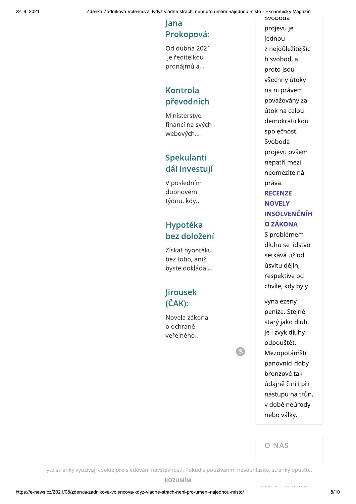# lana Prokopová:

Od dubna 2021 je ředitelkou pronájmů a...

# **Kontrola** převodních

Ministerstvo financí na svých webových...

# Spekulanti dál investují

V posledním dubnovém týdnu, kdy...

# Hypotéka bez doložení

Získat hypotéku bez toho, aniž byste dokládal...

# **Jirousek**  $(\check{C}AK)$ :

Novela zákona o ochraně veřejného...

phonone projevu je jednou z nejdůležitějšíc h svobod, a proto jsou všechny útoky na ni právem považovány za útok na celou demokratickou společnost. Svoboda projevu ovšem nepatří mezi neomezitelná práva. **RECENZE NOVELY INSOLVENČNÍH** O ZÁKONA S problémem dluhů se lidstvo setkává už od úsvitu dějin, respektive od chvíle, kdy byly vynalezeny peníze. Stejně starý jako dluh, je i zvyk dluhy odpouštět. Mezopotámští panovníci doby bronzové tak údajně činili při nástupu na trůn, v době neúrody

O NÁS

nebo války.

 $\mathcal{S}$ 

Tyto stránky využívají cookie pro sledování návštěvnosti. Pokud s používáním nesouhlasíte, stránky opusťte.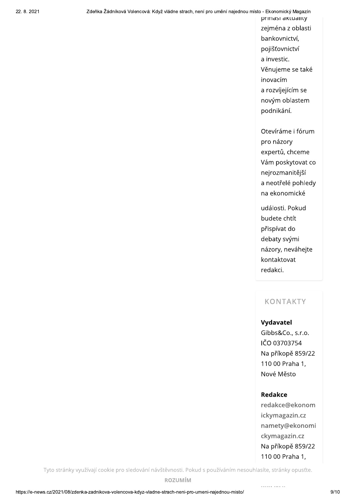ka Žádníková Volencová: Když vládne strach, není pro umění najednou místo - Ekonomický Magazín<br>|priridsi aktuality<br>|zejména z oblasti<br>|bankovnictví,<br>|pojišťovnictví<br>|a investic zejména z oblasti bankovnictví, pojišťovnictví a investic. Věnujeme se také inovacím a rozvíjejícím se novým oblastem podnikání.

> Otevíráme i fórum pro názory expertů, chceme Vám poskytovat co nejrozmanitější a neotřelé pohledy na ekonomické

události. Pokud budete chtít přispívat do debaty svými názory, neváhejte kontaktovat redakci.

## KONTAKTY

#### Vydavatel

Gibbs&Co., s.r.o. IČO 03703754 Na příkopě 859/22 110 00 Praha 1, Nové Město

#### Redakce

<L56D<

redakce@ekonom ickymagazin.cz namety@ekonomi ckymagazin.cz Na příkopě 859/22 110 00 Praha 1,

Tyto stránky využívají cookie pro sledování návštěvnosti. Pokud s používáním nesouhlasíte, stránky opusťte.